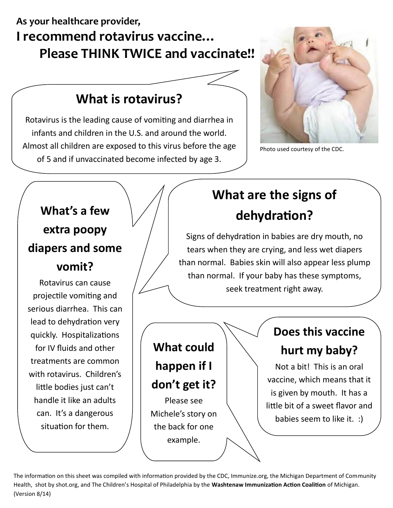## **As your healthcare provider, I recommend rotavirus vaccine… Please THINK TWICE and vaccinate!!**

## **What is rotavirus?**

Rotavirus is the leading cause of vomiting and diarrhea in infants and children in the U.S. and around the world. Almost all children are exposed to this virus before the age of 5 and if unvaccinated become infected by age 3.



Photo used courtesy of the CDC.



The information on this sheet was compiled with information provided by the CDC, Immunize.org, the Michigan Department of Community Health, shot by shot.org, and The Children's Hospital of Philadelphia by the **Washtenaw Immunization Action Coalition** of Michigan. (Version 8/14)